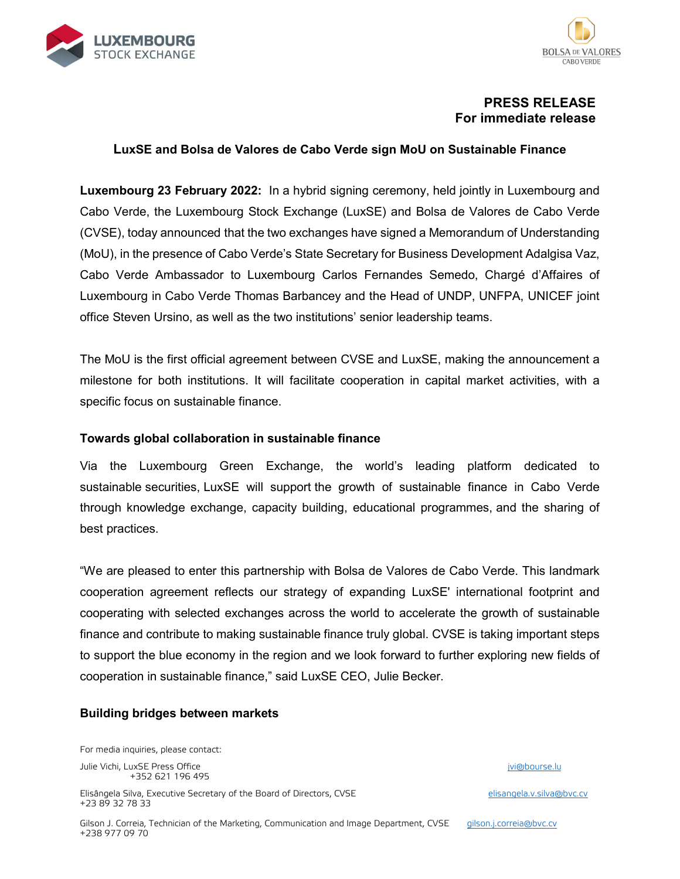



# **PRESS RELEASE For immediate release**

## **LuxSE and Bolsa de Valores de Cabo Verde sign MoU on Sustainable Finance**

**Luxembourg 23 February 2022:** In a hybrid signing ceremony, held jointly in Luxembourg and Cabo Verde, the Luxembourg Stock Exchange (LuxSE) and Bolsa de Valores de Cabo Verde (CVSE), today announced that the two exchanges have signed a Memorandum of Understanding (MoU), in the presence of Cabo Verde's State Secretary for Business Development Adalgisa Vaz, Cabo Verde Ambassador to Luxembourg Carlos Fernandes Semedo, Chargé d'Affaires of Luxembourg in Cabo Verde Thomas Barbancey and the Head of UNDP, UNFPA, UNICEF joint office Steven Ursino, as well as the two institutions' senior leadership teams.

The MoU is the first official agreement between CVSE and LuxSE, making the announcement a milestone for both institutions. It will facilitate cooperation in capital market activities, with a specific focus on sustainable finance.

### **Towards global collaboration in sustainable finance**

Via the Luxembourg Green Exchange, the world's leading platform dedicated to sustainable securities, LuxSE will support the growth of sustainable finance in Cabo Verde through knowledge exchange, capacity building, educational programmes, and the sharing of best practices.

"We are pleased to enter this partnership with Bolsa de Valores de Cabo Verde. This landmark cooperation agreement reflects our strategy of expanding LuxSE' international footprint and cooperating with selected exchanges across the world to accelerate the growth of sustainable finance and contribute to making sustainable finance truly global. CVSE is taking important steps to support the blue economy in the region and we look forward to further exploring new fields of cooperation in sustainable finance," said LuxSE CEO, Julie Becker.

### **Building bridges between markets**

For media inquiries, please contact:

Julie Vichi, LuxSE Press Office in the state of the state of the state of the state in the state of the state of the state of the state of the state of the state of the state of the state of the state of the state of the s +352 621 196 495

Elisângela Silva, Executive Secretary of the Board of Directors, CVSE elisangela.v.silva@bvc.cv +23 89 32 78 33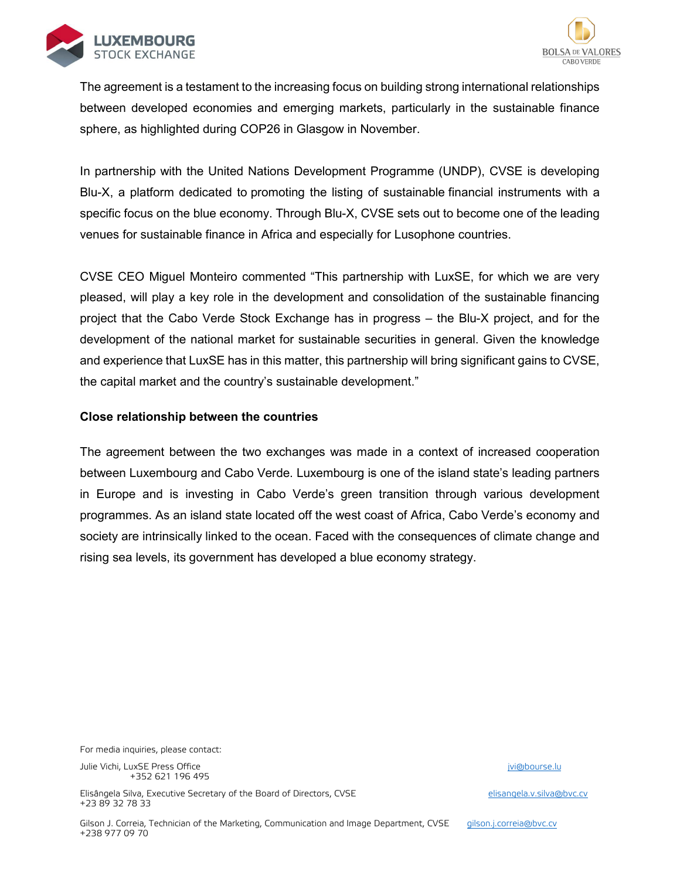



The agreement is a testament to the increasing focus on building strong international relationships between developed economies and emerging markets, particularly in the sustainable finance sphere, as highlighted during COP26 in Glasgow in November.

In partnership with the United Nations Development Programme (UNDP), CVSE is developing Blu-X, a platform dedicated to promoting the listing of sustainable financial instruments with a specific focus on the blue economy. Through Blu-X, CVSE sets out to become one of the leading venues for sustainable finance in Africa and especially for Lusophone countries.

CVSE CEO Miguel Monteiro commented "This partnership with LuxSE, for which we are very pleased, will play a key role in the development and consolidation of the sustainable financing project that the Cabo Verde Stock Exchange has in progress – the Blu-X project, and for the development of the national market for sustainable securities in general. Given the knowledge and experience that LuxSE has in this matter, this partnership will bring significant gains to CVSE, the capital market and the country's sustainable development."

### **Close relationship between the countries**

The agreement between the two exchanges was made in a context of increased cooperation between Luxembourg and Cabo Verde. Luxembourg is one of the island state's leading partners in Europe and is investing in Cabo Verde's green transition through various development programmes. As an island state located off the west coast of Africa, Cabo Verde's economy and society are intrinsically linked to the ocean. Faced with the consequences of climate change and rising sea levels, its government has developed a blue economy strategy.

For media inquiries, please contact:

Julie Vichi, LuxSE Press Office in the state of the state of the state of the state in the state of the state of the state of the state of the state of the state of the state of the state of the state of the state of the s +352 621 196 495

Elisângela Silva, Executive Secretary of the Board of Directors, CVSE elisangela.v.silva@bvc.cv +23 89 32 78 33